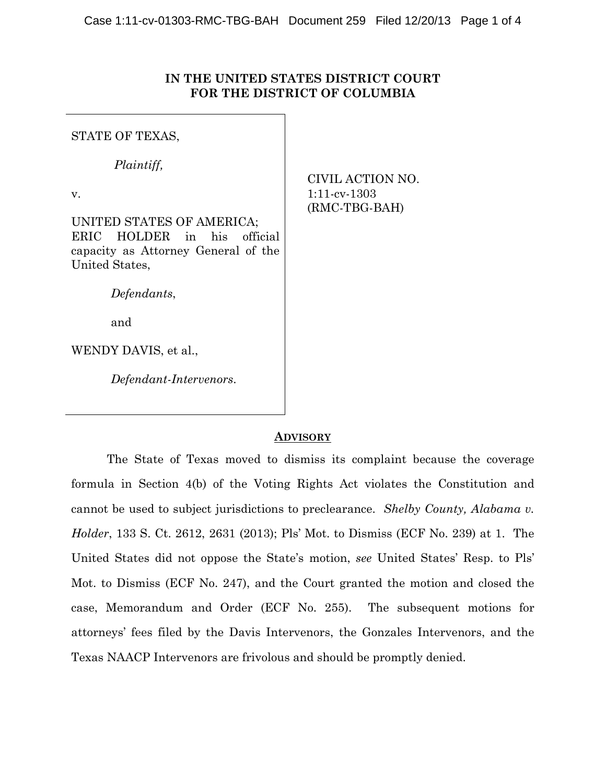## **IN THE UNITED STATES DISTRICT COURT FOR THE DISTRICT OF COLUMBIA**

STATE OF TEXAS,

*Plaintiff,* 

v.

UNITED STATES OF AMERICA; ERIC HOLDER in his official capacity as Attorney General of the United States,

*Defendants*,

and

WENDY DAVIS, et al.,

 *Defendant-Intervenors*.

CIVIL ACTION NO. 1:11-cv-1303 (RMC-TBG-BAH)

## **ADVISORY**

The State of Texas moved to dismiss its complaint because the coverage formula in Section 4(b) of the Voting Rights Act violates the Constitution and cannot be used to subject jurisdictions to preclearance. *Shelby County, Alabama v. Holder*, 133 S. Ct. 2612, 2631 (2013); Pls' Mot. to Dismiss (ECF No. 239) at 1. The United States did not oppose the State's motion, *see* United States' Resp. to Pls' Mot. to Dismiss (ECF No. 247), and the Court granted the motion and closed the case, Memorandum and Order (ECF No. 255). The subsequent motions for attorneys' fees filed by the Davis Intervenors, the Gonzales Intervenors, and the Texas NAACP Intervenors are frivolous and should be promptly denied.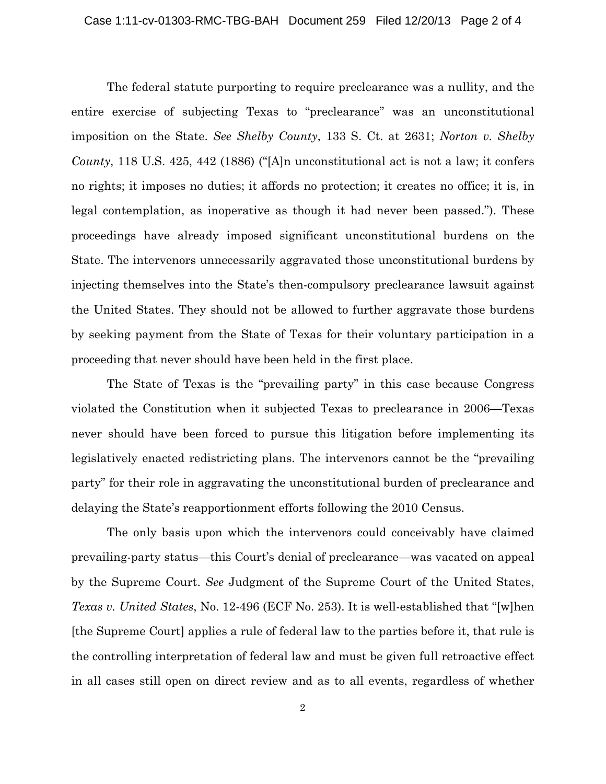The federal statute purporting to require preclearance was a nullity, and the entire exercise of subjecting Texas to "preclearance" was an unconstitutional imposition on the State. *See Shelby County*, 133 S. Ct. at 2631; *Norton v. Shelby County*, 118 U.S. 425, 442 (1886) ("[A]n unconstitutional act is not a law; it confers no rights; it imposes no duties; it affords no protection; it creates no office; it is, in legal contemplation, as inoperative as though it had never been passed."). These proceedings have already imposed significant unconstitutional burdens on the State. The intervenors unnecessarily aggravated those unconstitutional burdens by injecting themselves into the State's then-compulsory preclearance lawsuit against the United States. They should not be allowed to further aggravate those burdens by seeking payment from the State of Texas for their voluntary participation in a proceeding that never should have been held in the first place.

The State of Texas is the "prevailing party" in this case because Congress violated the Constitution when it subjected Texas to preclearance in 2006—Texas never should have been forced to pursue this litigation before implementing its legislatively enacted redistricting plans. The intervenors cannot be the "prevailing party" for their role in aggravating the unconstitutional burden of preclearance and delaying the State's reapportionment efforts following the 2010 Census.

The only basis upon which the intervenors could conceivably have claimed prevailing-party status—this Court's denial of preclearance—was vacated on appeal by the Supreme Court. *See* Judgment of the Supreme Court of the United States, *Texas v. United States*, No. 12-496 (ECF No. 253). It is well-established that "[w]hen [the Supreme Court] applies a rule of federal law to the parties before it, that rule is the controlling interpretation of federal law and must be given full retroactive effect in all cases still open on direct review and as to all events, regardless of whether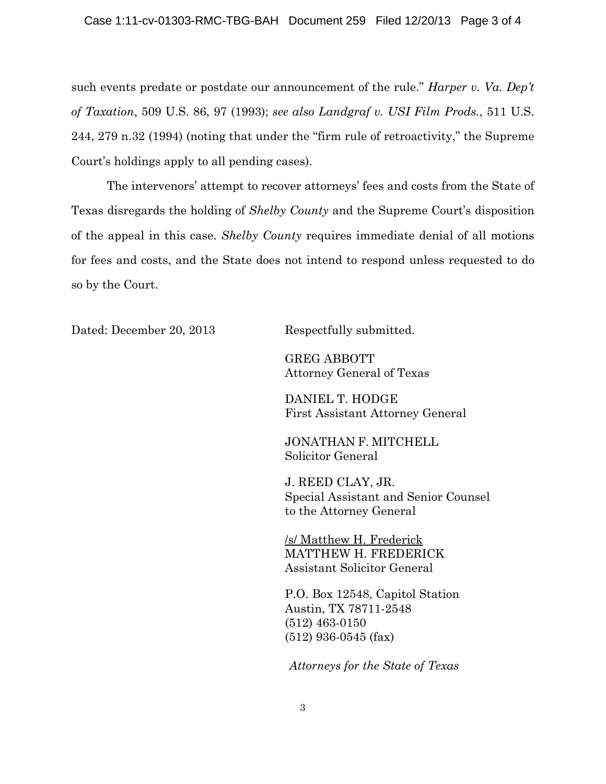such events predate or postdate our announcement of the rule." *Harper v. Va. Dep't of Taxation*, 509 U.S. 86, 97 (1993); *see also Landgraf v. USI Film Prods.*, 511 U.S. 244, 279 n.32 (1994) (noting that under the "firm rule of retroactivity," the Supreme Court's holdings apply to all pending cases).

The intervenors' attempt to recover attorneys' fees and costs from the State of Texas disregards the holding of *Shelby County* and the Supreme Court's disposition of the appeal in this case. *Shelby County* requires immediate denial of all motions for fees and costs, and the State does not intend to respond unless requested to do so by the Court.

Dated: December 20, 2013 Respectfully submitted.

GREG ABBOTT Attorney General of Texas

DANIEL T. HODGE First Assistant Attorney General

JONATHAN F. MITCHELL Solicitor General

J. REED CLAY, JR. Special Assistant and Senior Counsel to the Attorney General

/s/ Matthew H. Frederick MATTHEW H. FREDERICK Assistant Solicitor General

P.O. Box 12548, Capitol Station Austin, TX 78711-2548 (512) 463-0150 (512) 936-0545 (fax)

*Attorneys for the State of Texas*